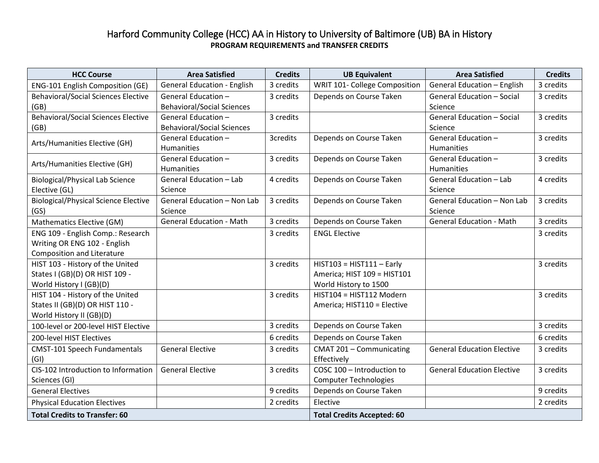## Harford Community College (HCC) AA in History to University of Baltimore (UB) BA in History **PROGRAM REQUIREMENTS and TRANSFER CREDITS**

| <b>HCC Course</b>                           | <b>Area Satisfied</b>              | <b>Credits</b> | <b>UB Equivalent</b>              | <b>Area Satisfied</b>             | <b>Credits</b> |
|---------------------------------------------|------------------------------------|----------------|-----------------------------------|-----------------------------------|----------------|
| ENG-101 English Composition (GE)            | <b>General Education - English</b> | 3 credits      | WRIT 101- College Composition     | General Education - English       | 3 credits      |
| <b>Behavioral/Social Sciences Elective</b>  | General Education -                | 3 credits      | Depends on Course Taken           | General Education - Social        | 3 credits      |
| (GB)                                        | <b>Behavioral/Social Sciences</b>  |                |                                   | Science                           |                |
| <b>Behavioral/Social Sciences Elective</b>  | General Education -                | 3 credits      |                                   | <b>General Education - Social</b> | 3 credits      |
| (GB)                                        | <b>Behavioral/Social Sciences</b>  |                |                                   | Science                           |                |
| Arts/Humanities Elective (GH)               | General Education -                | 3credits       | Depends on Course Taken           | General Education -               | 3 credits      |
|                                             | <b>Humanities</b>                  |                |                                   | <b>Humanities</b>                 |                |
| Arts/Humanities Elective (GH)               | General Education -                | 3 credits      | Depends on Course Taken           | General Education -               | 3 credits      |
|                                             | <b>Humanities</b>                  |                |                                   | Humanities                        |                |
| <b>Biological/Physical Lab Science</b>      | General Education - Lab            | 4 credits      | Depends on Course Taken           | <b>General Education - Lab</b>    | 4 credits      |
| Elective (GL)                               | Science                            |                |                                   | Science                           |                |
| <b>Biological/Physical Science Elective</b> | General Education - Non Lab        | 3 credits      | Depends on Course Taken           | General Education - Non Lab       | 3 credits      |
| (GS)                                        | Science                            |                |                                   | Science                           |                |
| Mathematics Elective (GM)                   | <b>General Education - Math</b>    | 3 credits      | Depends on Course Taken           | <b>General Education - Math</b>   | 3 credits      |
| ENG 109 - English Comp.: Research           |                                    | 3 credits      | <b>ENGL Elective</b>              |                                   | 3 credits      |
| Writing OR ENG 102 - English                |                                    |                |                                   |                                   |                |
| <b>Composition and Literature</b>           |                                    |                |                                   |                                   |                |
| HIST 103 - History of the United            |                                    | 3 credits      | $HIST103 = HIST111 - Early$       |                                   | 3 credits      |
| States I (GB)(D) OR HIST 109 -              |                                    |                | America; HIST 109 = HIST101       |                                   |                |
| World History I (GB)(D)                     |                                    |                | World History to 1500             |                                   |                |
| HIST 104 - History of the United            |                                    | 3 credits      | HIST104 = HIST112 Modern          |                                   | 3 credits      |
| States II (GB)(D) OR HIST 110 -             |                                    |                | America; HIST110 = Elective       |                                   |                |
| World History II (GB)(D)                    |                                    |                |                                   |                                   |                |
| 100-level or 200-level HIST Elective        |                                    | 3 credits      | Depends on Course Taken           |                                   | 3 credits      |
| 200-level HIST Electives                    |                                    | 6 credits      | Depends on Course Taken           |                                   | 6 credits      |
| <b>CMST-101 Speech Fundamentals</b>         | <b>General Elective</b>            | 3 credits      | CMAT 201 - Communicating          | <b>General Education Elective</b> | 3 credits      |
| (GI)                                        |                                    |                | Effectively                       |                                   |                |
| CIS-102 Introduction to Information         | <b>General Elective</b>            | 3 credits      | COSC 100 - Introduction to        | <b>General Education Elective</b> | 3 credits      |
| Sciences (GI)                               |                                    |                | <b>Computer Technologies</b>      |                                   |                |
| <b>General Electives</b>                    |                                    | 9 credits      | Depends on Course Taken           |                                   | 9 credits      |
| <b>Physical Education Electives</b>         |                                    | 2 credits      | Elective                          |                                   | 2 credits      |
| <b>Total Credits to Transfer: 60</b>        |                                    |                | <b>Total Credits Accepted: 60</b> |                                   |                |